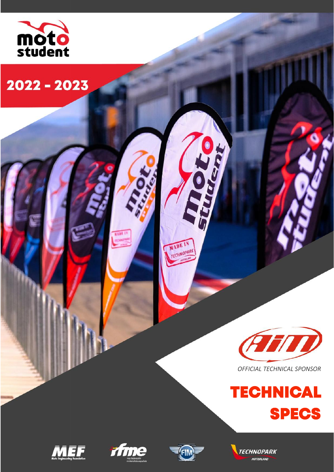

2022 - 2023



*OFFICIAL TECHNICAL SPONSOR*









TO HARDEN

MADE IN **TECHNOPARK** 

 $O_{\mathcal{S}}$ 

**R 1.98** 

**TECHNOPARK MOTORLAND**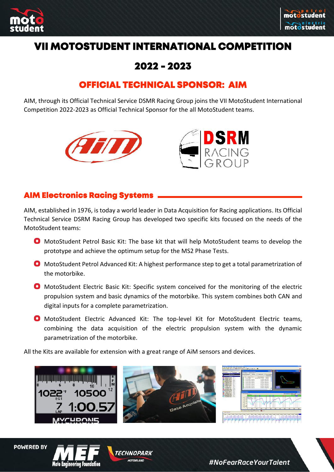



# **VII MOTOSTUDENT INTERNATIONAL COMPETITION**

# **2022 - 2023**

# **OFFICIAL TECHNICAL SPONSOR: AIM**

AIM, through its Official Technical Service DSMR Racing Group joins the VII MotoStudent International Competition 2022-2023 as Official Technical Sponsor for the all MotoStudent teams.





## **AIM Electronics Racing Systems**

AIM, established in 1976, is today a world leader in Data Acquisition for Racing applications. Its Official Technical Service DSRM Racing Group has developed two specific kits focused on the needs of the MotoStudent teams:

- MotoStudent Petrol Basic Kit: The base kit that will help MotoStudent teams to develop the prototype and achieve the optimum setup for the MS2 Phase Tests.
- MotoStudent Petrol Advanced Kit: A highest performance step to get a total parametrization of the motorbike.
- **O** MotoStudent Electric Basic Kit: Specific system conceived for the monitoring of the electric propulsion system and basic dynamics of the motorbike. This system combines both CAN and digital inputs for a complete parametrization.
- MotoStudent Electric Advanced Kit: The top-level Kit for MotoStudent Electric teams, combining the data acquisition of the electric propulsion system with the dynamic parametrization of the motorbike.

All the Kits are available for extension with a great range of AiM sensors and devices.







TECHNOPARK **MOTORI AND**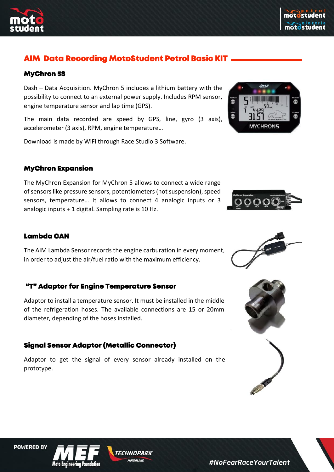



# **AIM Data Recording MotoStudent Petrol Basic KIT**

#### **MyChron 5S**

Dash – Data Acquisition. MyChron 5 includes a lithium battery with the possibility to connect to an external power supply. Includes RPM sensor, engine temperature sensor and lap time (GPS).

The main data recorded are speed by GPS, line, gyro (3 axis), accelerometer (3 axis), RPM, engine temperature…

Download is made by WiFi through Race Studio 3 Software.

#### **MyChron Expansion**

The MyChron Expansion for MyChron 5 allows to connect a wide range of sensors like pressure sensors, potentiometers (not suspension), speed sensors, temperature… It allows to connect 4 analogic inputs or 3 analogic inputs + 1 digital. Sampling rate is 10 Hz.

## **Lambda CAN**

The AIM Lambda Sensor records the engine carburation in every moment, in order to adjust the air/fuel ratio with the maximum efficiency.

#### **"T" Adaptor for Engine Temperature Sensor**

Adaptor to install a temperature sensor. It must be installed in the middle of the refrigeration hoses. The available connections are 15 or 20mm diameter, depending of the hoses installed.

## **Signal Sensor Adaptor (Metallic Connector)**

Adaptor to get the signal of every sensor already installed on the prototype.













TECHNOPARK **MOTOR AND**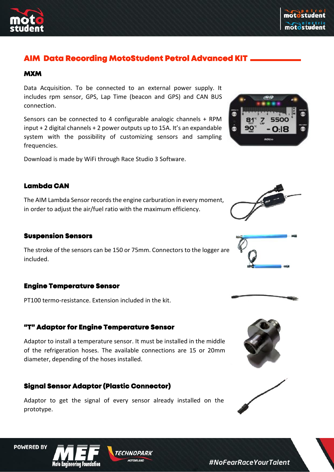



## **AIM Data Recording MotoStudent Petrol Advanced KIT**

#### **MXM**

Data Acquisition. To be connected to an external power supply. It includes rpm sensor, GPS, Lap Time (beacon and GPS) and CAN BUS connection.

Sensors can be connected to 4 configurable analogic channels + RPM input + 2 digital channels + 2 power outputs up to 15A. It's an expandable system with the possibility of customizing sensors and sampling frequencies.

Download is made by WiFi through Race Studio 3 Software.

#### **Lambda CAN**

The AIM Lambda Sensor records the engine carburation in every moment, in order to adjust the air/fuel ratio with the maximum efficiency.

#### **Suspension Sensors**

The stroke of the sensors can be 150 or 75mm. Connectors to the logger are included.

#### **Engine Temperature Sensor**

PT100 termo-resistance. Extension included in the kit.

#### **"T" Adaptor for Engine Temperature Sensor**

Adaptor to install a temperature sensor. It must be installed in the middle of the refrigeration hoses. The available connections are 15 or 20mm diameter, depending of the hoses installed.

#### **Signal Sensor Adaptor (Plastic Connector)**

Adaptor to get the signal of every sensor already installed on the prototype.













**POWERED BY** 

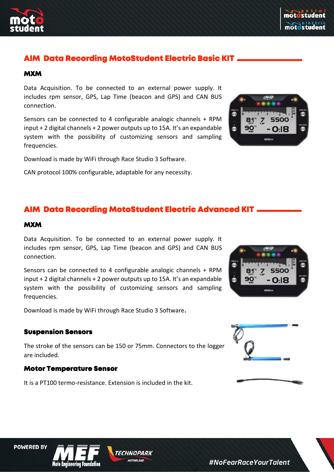

# **AIM Data Recording MotoStudent Electric Basic KIT**

#### **MXM**

Data Acquisition. To be connected to an external power supply. It includes rpm sensor, GPS, Lap Time (beacon and GPS) and CAN BUS connection.

Sensors can be connected to 4 configurable analogic channels + RPM input + 2 digital channels + 2 power outputs up to 15A. It's an expandable system with the possibility of customizing sensors and sampling frequencies.

Download is made by WiFi through Race Studio 3 Software.

CAN protocol 100% configurable, adaptable for any necessity.

# **AIM Data Recording MotoStudent Electric Advanced KIT**

#### **MXM**

Data Acquisition. To be connected to an external power supply. It includes rpm sensor, GPS, Lap Time (beacon and GPS) and CAN BUS connection.

Sensors can be connected to 4 configurable analogic channels + RPM input + 2 digital channels + 2 power outputs up to 15A. It's an expandable system with the possibility of customizing sensors and sampling frequencies.

Download is made by WiFi through Race Studio 3 Software.

#### **Suspension Sensors**

The stroke of the sensors can be 150 or 75mm. Connectors to the logger are included.

**MOTOR AND** 

#### **Motor Temperature Sensor**

It is a PT100 termo-resistance. Extension is included in the kit.







**POWERED BY**